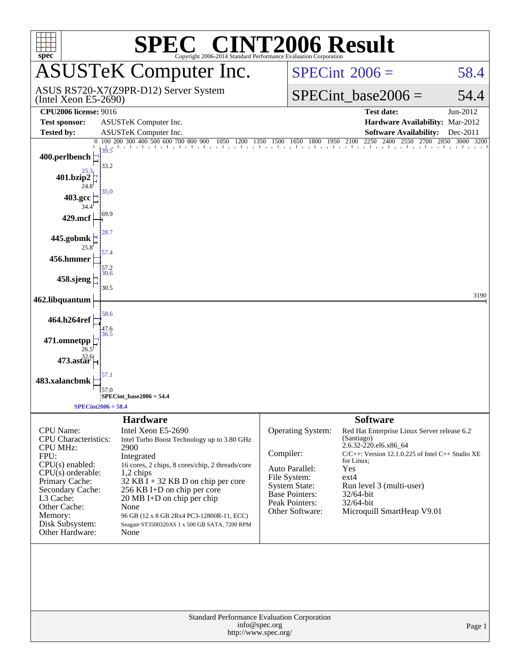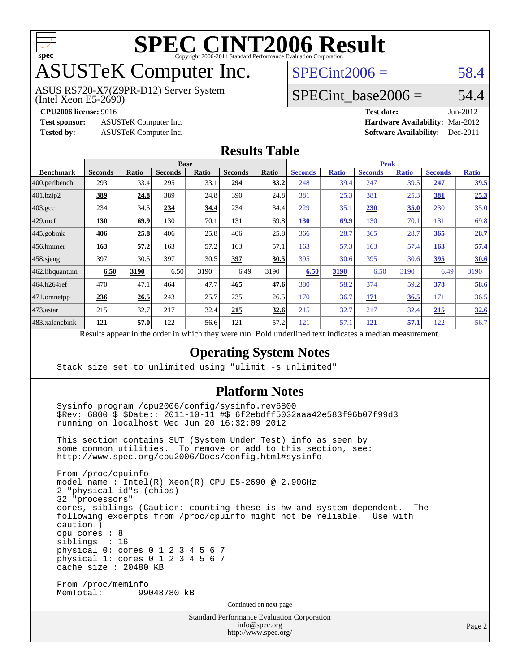

## ASUSTeK Computer Inc.

(Intel Xeon E5-2690) ASUS RS720-X7(Z9PR-D12) Server System  $SPECint2006 = 58.4$  $SPECint2006 = 58.4$ 

### SPECint base2006 =  $54.4$

**[CPU2006 license:](http://www.spec.org/auto/cpu2006/Docs/result-fields.html#CPU2006license)** 9016 **[Test date:](http://www.spec.org/auto/cpu2006/Docs/result-fields.html#Testdate)** Jun-2012 **[Test sponsor:](http://www.spec.org/auto/cpu2006/Docs/result-fields.html#Testsponsor)** ASUSTeK Computer Inc. **[Hardware Availability:](http://www.spec.org/auto/cpu2006/Docs/result-fields.html#HardwareAvailability)** Mar-2012 **[Tested by:](http://www.spec.org/auto/cpu2006/Docs/result-fields.html#Testedby)** ASUSTeK Computer Inc. **[Software Availability:](http://www.spec.org/auto/cpu2006/Docs/result-fields.html#SoftwareAvailability)** Dec-2011

### **[Results Table](http://www.spec.org/auto/cpu2006/Docs/result-fields.html#ResultsTable)**

|                                                   | <b>Base</b>    |              |                |       |                |              | <b>Peak</b>    |              |                                                     |              |                |              |
|---------------------------------------------------|----------------|--------------|----------------|-------|----------------|--------------|----------------|--------------|-----------------------------------------------------|--------------|----------------|--------------|
| <b>Benchmark</b>                                  | <b>Seconds</b> | <b>Ratio</b> | <b>Seconds</b> | Ratio | <b>Seconds</b> | <b>Ratio</b> | <b>Seconds</b> | <b>Ratio</b> | <b>Seconds</b>                                      | <b>Ratio</b> | <b>Seconds</b> | <b>Ratio</b> |
| $ 400$ .perlbench                                 | 293            | 33.4         | 295            | 33.1  | 294            | 33.2         | 248            | 39.4         | 247                                                 | 39.5         | 247            | <u>39.5</u>  |
| 401.bzip2                                         | 389            | 24.8         | 389            | 24.8  | 390            | 24.8         | 381            | 25.3         | 381                                                 | 25.3         | 381            | 25.3         |
| $403.\mathrm{gcc}$                                | 234            | 34.5         | 234            | 34.4  | 234            | 34.4         | 229            | 35.1         | 230                                                 | 35.0         | 230            | 35.0         |
| $429$ .mcf                                        | 130            | 69.9         | 130            | 70.1  | 131            | 69.8         | <b>130</b>     | 69.9         | 130                                                 | 70.1         | 131            | 69.8         |
| $445$ .gobmk                                      | 406            | 25.8         | 406            | 25.8  | 406            | 25.8         | 366            | 28.7         | 365                                                 | 28.7         | 365            | 28.7         |
| $456.$ hmmer                                      | 163            | 57.2         | 163            | 57.2  | 163            | 57.1         | 163            | 57.3         | 163                                                 | 57.4         | 163            | 57.4         |
| $458$ .sjeng                                      | 397            | 30.5         | 397            | 30.5  | <u>397</u>     | 30.5         | 395            | 30.6         | 395                                                 | 30.6         | <u>395</u>     | <u>30.6</u>  |
| 462.libquantum                                    | 6.50           | 3190         | 6.50           | 3190  | 6.49           | 3190         | 6.50           | 3190         | 6.50                                                | 3190         | 6.49           | 3190         |
| 464.h264ref                                       | 470            | 47.1         | 464            | 47.7  | 465            | 47.6         | 380            | 58.2         | 374                                                 | 59.2         | 378            | 58.6         |
| 471.omnetpp                                       | 236            | 26.5         | 243            | 25.7  | 235            | 26.5         | 170            | 36.7         | <u>171</u>                                          | 36.5         | 171            | 36.5         |
| $473.$ astar                                      | 215            | 32.7         | 217            | 32.4  | 215            | 32.6         | 215            | 32.7         | 217                                                 | 32.4         | 215            | 32.6         |
| 483.xalancbmk                                     | 121            | 57.0         | 122            | 56.6  | 121            | 57.2         | 121            | 57.1         | 121                                                 | 57.1         | 122            | 56.7         |
| Decute ennoye in the order in which they were mun |                |              |                |       |                |              |                |              | Dold underlined text indicates a madien massurement |              |                |              |

Results appear in the [order in which they were run.](http://www.spec.org/auto/cpu2006/Docs/result-fields.html#RunOrder) Bold underlined text [indicates a median measurement.](http://www.spec.org/auto/cpu2006/Docs/result-fields.html#Median)

### **[Operating System Notes](http://www.spec.org/auto/cpu2006/Docs/result-fields.html#OperatingSystemNotes)**

Stack size set to unlimited using "ulimit -s unlimited"

### **[Platform Notes](http://www.spec.org/auto/cpu2006/Docs/result-fields.html#PlatformNotes)**

 Sysinfo program /cpu2006/config/sysinfo.rev6800 \$Rev: 6800 \$ \$Date:: 2011-10-11 #\$ 6f2ebdff5032aaa42e583f96b07f99d3 running on localhost Wed Jun 20 16:32:09 2012

 This section contains SUT (System Under Test) info as seen by some common utilities. To remove or add to this section, see: <http://www.spec.org/cpu2006/Docs/config.html#sysinfo>

 From /proc/cpuinfo model name : Intel(R) Xeon(R) CPU E5-2690 @ 2.90GHz 2 "physical id"s (chips) 32 "processors" cores, siblings (Caution: counting these is hw and system dependent. The following excerpts from /proc/cpuinfo might not be reliable. Use with caution.) cpu cores : 8 siblings : 16 physical 0: cores 0 1 2 3 4 5 6 7 physical 1: cores 0 1 2 3 4 5 6 7 cache size : 20480 KB From /proc/meminfo MemTotal: 99048780 kB

Continued on next page

Standard Performance Evaluation Corporation [info@spec.org](mailto:info@spec.org) <http://www.spec.org/>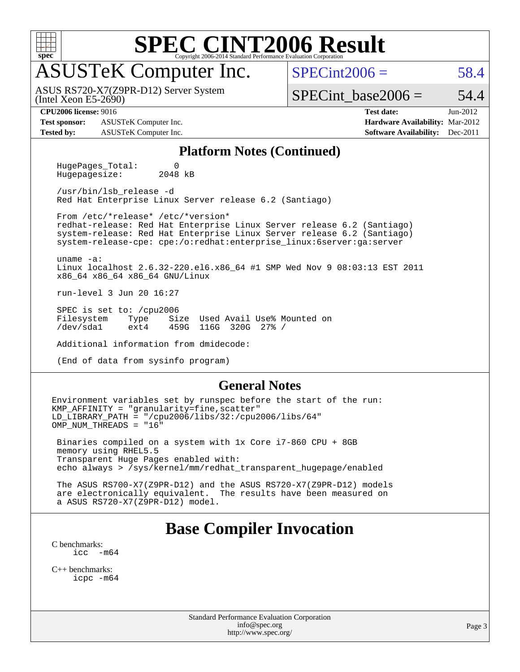

## ASUSTeK Computer Inc.

(Intel Xeon E5-2690) ASUS RS720-X7(Z9PR-D12) Server System  $SPECint2006 = 58.4$  $SPECint2006 = 58.4$ 

SPECint base2006 =  $54.4$ 

**[Test sponsor:](http://www.spec.org/auto/cpu2006/Docs/result-fields.html#Testsponsor)** ASUSTeK Computer Inc. **[Hardware Availability:](http://www.spec.org/auto/cpu2006/Docs/result-fields.html#HardwareAvailability)** Mar-2012 **[Tested by:](http://www.spec.org/auto/cpu2006/Docs/result-fields.html#Testedby)** ASUSTeK Computer Inc. **[Software Availability:](http://www.spec.org/auto/cpu2006/Docs/result-fields.html#SoftwareAvailability)** Dec-2011

**[CPU2006 license:](http://www.spec.org/auto/cpu2006/Docs/result-fields.html#CPU2006license)** 9016 **[Test date:](http://www.spec.org/auto/cpu2006/Docs/result-fields.html#Testdate)** Jun-2012

### **[Platform Notes \(Continued\)](http://www.spec.org/auto/cpu2006/Docs/result-fields.html#PlatformNotes)**

HugePages\_Total: 0<br>Hugepagesize: 2048 kB Hugepagesize:

 /usr/bin/lsb\_release -d Red Hat Enterprise Linux Server release 6.2 (Santiago)

 From /etc/\*release\* /etc/\*version\* redhat-release: Red Hat Enterprise Linux Server release 6.2 (Santiago) system-release: Red Hat Enterprise Linux Server release 6.2 (Santiago) system-release-cpe: cpe:/o:redhat:enterprise\_linux:6server:ga:server

 uname -a: Linux localhost 2.6.32-220.el6.x86\_64 #1 SMP Wed Nov 9 08:03:13 EST 2011 x86\_64 x86\_64 x86\_64 GNU/Linux

run-level 3 Jun 20 16:27

SPEC is set to: /cpu2006<br>Filesystem Type Si Filesystem Type Size Used-Avail-Use%-Mounted on<br>
/dev/sdal ext4 459G 116G 320G 27%-/ 116G 320G 27% /

Additional information from dmidecode:

(End of data from sysinfo program)

### **[General Notes](http://www.spec.org/auto/cpu2006/Docs/result-fields.html#GeneralNotes)**

Environment variables set by runspec before the start of the run: KMP\_AFFINITY = "granularity=fine,scatter" LD\_LIBRARY\_PATH = "/cpu2006/libs/32:/cpu2006/libs/64" OMP NUM THREADS =  $"16"$ 

 Binaries compiled on a system with 1x Core i7-860 CPU + 8GB memory using RHEL5.5 Transparent Huge Pages enabled with: echo always > /sys/kernel/mm/redhat\_transparent\_hugepage/enabled

 The ASUS RS700-X7(Z9PR-D12) and the ASUS RS720-X7(Z9PR-D12) models are electronically equivalent. The results have been measured on a ASUS RS720-X7(Z9PR-D12) model.

### **[Base Compiler Invocation](http://www.spec.org/auto/cpu2006/Docs/result-fields.html#BaseCompilerInvocation)**

[C benchmarks](http://www.spec.org/auto/cpu2006/Docs/result-fields.html#Cbenchmarks):  $\text{icc}$   $-\text{m64}$ 

[C++ benchmarks:](http://www.spec.org/auto/cpu2006/Docs/result-fields.html#CXXbenchmarks) [icpc -m64](http://www.spec.org/cpu2006/results/res2012q3/cpu2006-20120703-23524.flags.html#user_CXXbase_intel_icpc_64bit_fc66a5337ce925472a5c54ad6a0de310)

> Standard Performance Evaluation Corporation [info@spec.org](mailto:info@spec.org) <http://www.spec.org/>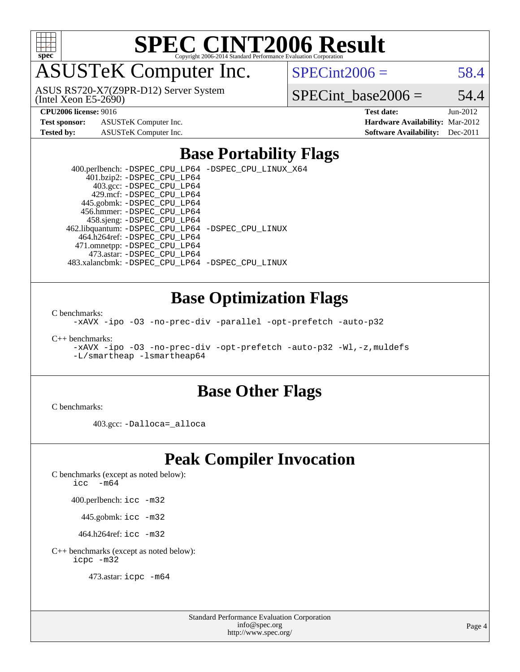

## ASUSTeK Computer Inc.

ASUS RS720-X7(Z9PR-D12) Server System

 $SPECint2006 = 58.4$  $SPECint2006 = 58.4$ 

(Intel Xeon E5-2690)

**[Test sponsor:](http://www.spec.org/auto/cpu2006/Docs/result-fields.html#Testsponsor)** ASUSTeK Computer Inc. **[Hardware Availability:](http://www.spec.org/auto/cpu2006/Docs/result-fields.html#HardwareAvailability)** Mar-2012

SPECint base2006 =  $54.4$ 

**[CPU2006 license:](http://www.spec.org/auto/cpu2006/Docs/result-fields.html#CPU2006license)** 9016 **[Test date:](http://www.spec.org/auto/cpu2006/Docs/result-fields.html#Testdate)** Jun-2012 **[Tested by:](http://www.spec.org/auto/cpu2006/Docs/result-fields.html#Testedby)** ASUSTeK Computer Inc. **[Software Availability:](http://www.spec.org/auto/cpu2006/Docs/result-fields.html#SoftwareAvailability)** Dec-2011

### **[Base Portability Flags](http://www.spec.org/auto/cpu2006/Docs/result-fields.html#BasePortabilityFlags)**

 400.perlbench: [-DSPEC\\_CPU\\_LP64](http://www.spec.org/cpu2006/results/res2012q3/cpu2006-20120703-23524.flags.html#b400.perlbench_basePORTABILITY_DSPEC_CPU_LP64) [-DSPEC\\_CPU\\_LINUX\\_X64](http://www.spec.org/cpu2006/results/res2012q3/cpu2006-20120703-23524.flags.html#b400.perlbench_baseCPORTABILITY_DSPEC_CPU_LINUX_X64) 401.bzip2: [-DSPEC\\_CPU\\_LP64](http://www.spec.org/cpu2006/results/res2012q3/cpu2006-20120703-23524.flags.html#suite_basePORTABILITY401_bzip2_DSPEC_CPU_LP64) 403.gcc: [-DSPEC\\_CPU\\_LP64](http://www.spec.org/cpu2006/results/res2012q3/cpu2006-20120703-23524.flags.html#suite_basePORTABILITY403_gcc_DSPEC_CPU_LP64) 429.mcf: [-DSPEC\\_CPU\\_LP64](http://www.spec.org/cpu2006/results/res2012q3/cpu2006-20120703-23524.flags.html#suite_basePORTABILITY429_mcf_DSPEC_CPU_LP64) 445.gobmk: [-DSPEC\\_CPU\\_LP64](http://www.spec.org/cpu2006/results/res2012q3/cpu2006-20120703-23524.flags.html#suite_basePORTABILITY445_gobmk_DSPEC_CPU_LP64) 456.hmmer: [-DSPEC\\_CPU\\_LP64](http://www.spec.org/cpu2006/results/res2012q3/cpu2006-20120703-23524.flags.html#suite_basePORTABILITY456_hmmer_DSPEC_CPU_LP64) 458.sjeng: [-DSPEC\\_CPU\\_LP64](http://www.spec.org/cpu2006/results/res2012q3/cpu2006-20120703-23524.flags.html#suite_basePORTABILITY458_sjeng_DSPEC_CPU_LP64) 462.libquantum: [-DSPEC\\_CPU\\_LP64](http://www.spec.org/cpu2006/results/res2012q3/cpu2006-20120703-23524.flags.html#suite_basePORTABILITY462_libquantum_DSPEC_CPU_LP64) [-DSPEC\\_CPU\\_LINUX](http://www.spec.org/cpu2006/results/res2012q3/cpu2006-20120703-23524.flags.html#b462.libquantum_baseCPORTABILITY_DSPEC_CPU_LINUX) 464.h264ref: [-DSPEC\\_CPU\\_LP64](http://www.spec.org/cpu2006/results/res2012q3/cpu2006-20120703-23524.flags.html#suite_basePORTABILITY464_h264ref_DSPEC_CPU_LP64) 471.omnetpp: [-DSPEC\\_CPU\\_LP64](http://www.spec.org/cpu2006/results/res2012q3/cpu2006-20120703-23524.flags.html#suite_basePORTABILITY471_omnetpp_DSPEC_CPU_LP64) 473.astar: [-DSPEC\\_CPU\\_LP64](http://www.spec.org/cpu2006/results/res2012q3/cpu2006-20120703-23524.flags.html#suite_basePORTABILITY473_astar_DSPEC_CPU_LP64) 483.xalancbmk: [-DSPEC\\_CPU\\_LP64](http://www.spec.org/cpu2006/results/res2012q3/cpu2006-20120703-23524.flags.html#suite_basePORTABILITY483_xalancbmk_DSPEC_CPU_LP64) [-DSPEC\\_CPU\\_LINUX](http://www.spec.org/cpu2006/results/res2012q3/cpu2006-20120703-23524.flags.html#b483.xalancbmk_baseCXXPORTABILITY_DSPEC_CPU_LINUX)

### **[Base Optimization Flags](http://www.spec.org/auto/cpu2006/Docs/result-fields.html#BaseOptimizationFlags)**

[C benchmarks](http://www.spec.org/auto/cpu2006/Docs/result-fields.html#Cbenchmarks):

[-xAVX](http://www.spec.org/cpu2006/results/res2012q3/cpu2006-20120703-23524.flags.html#user_CCbase_f-xAVX) [-ipo](http://www.spec.org/cpu2006/results/res2012q3/cpu2006-20120703-23524.flags.html#user_CCbase_f-ipo) [-O3](http://www.spec.org/cpu2006/results/res2012q3/cpu2006-20120703-23524.flags.html#user_CCbase_f-O3) [-no-prec-div](http://www.spec.org/cpu2006/results/res2012q3/cpu2006-20120703-23524.flags.html#user_CCbase_f-no-prec-div) [-parallel](http://www.spec.org/cpu2006/results/res2012q3/cpu2006-20120703-23524.flags.html#user_CCbase_f-parallel) [-opt-prefetch](http://www.spec.org/cpu2006/results/res2012q3/cpu2006-20120703-23524.flags.html#user_CCbase_f-opt-prefetch) [-auto-p32](http://www.spec.org/cpu2006/results/res2012q3/cpu2006-20120703-23524.flags.html#user_CCbase_f-auto-p32)

[C++ benchmarks:](http://www.spec.org/auto/cpu2006/Docs/result-fields.html#CXXbenchmarks)

[-xAVX](http://www.spec.org/cpu2006/results/res2012q3/cpu2006-20120703-23524.flags.html#user_CXXbase_f-xAVX) [-ipo](http://www.spec.org/cpu2006/results/res2012q3/cpu2006-20120703-23524.flags.html#user_CXXbase_f-ipo) [-O3](http://www.spec.org/cpu2006/results/res2012q3/cpu2006-20120703-23524.flags.html#user_CXXbase_f-O3) [-no-prec-div](http://www.spec.org/cpu2006/results/res2012q3/cpu2006-20120703-23524.flags.html#user_CXXbase_f-no-prec-div) [-opt-prefetch](http://www.spec.org/cpu2006/results/res2012q3/cpu2006-20120703-23524.flags.html#user_CXXbase_f-opt-prefetch) [-auto-p32](http://www.spec.org/cpu2006/results/res2012q3/cpu2006-20120703-23524.flags.html#user_CXXbase_f-auto-p32) [-Wl,-z,muldefs](http://www.spec.org/cpu2006/results/res2012q3/cpu2006-20120703-23524.flags.html#user_CXXbase_link_force_multiple1_74079c344b956b9658436fd1b6dd3a8a) [-L/smartheap -lsmartheap64](http://www.spec.org/cpu2006/results/res2012q3/cpu2006-20120703-23524.flags.html#user_CXXbase_SmartHeap64_5e654037dadeae1fe403ab4b4466e60b)

### **[Base Other Flags](http://www.spec.org/auto/cpu2006/Docs/result-fields.html#BaseOtherFlags)**

[C benchmarks](http://www.spec.org/auto/cpu2006/Docs/result-fields.html#Cbenchmarks):

403.gcc: [-Dalloca=\\_alloca](http://www.spec.org/cpu2006/results/res2012q3/cpu2006-20120703-23524.flags.html#b403.gcc_baseEXTRA_CFLAGS_Dalloca_be3056838c12de2578596ca5467af7f3)

### **[Peak Compiler Invocation](http://www.spec.org/auto/cpu2006/Docs/result-fields.html#PeakCompilerInvocation)**

[C benchmarks \(except as noted below\)](http://www.spec.org/auto/cpu2006/Docs/result-fields.html#Cbenchmarksexceptasnotedbelow):

icc  $-m64$ 

400.perlbench: [icc -m32](http://www.spec.org/cpu2006/results/res2012q3/cpu2006-20120703-23524.flags.html#user_peakCCLD400_perlbench_intel_icc_a6a621f8d50482236b970c6ac5f55f93)

445.gobmk: [icc -m32](http://www.spec.org/cpu2006/results/res2012q3/cpu2006-20120703-23524.flags.html#user_peakCCLD445_gobmk_intel_icc_a6a621f8d50482236b970c6ac5f55f93)

464.h264ref: [icc -m32](http://www.spec.org/cpu2006/results/res2012q3/cpu2006-20120703-23524.flags.html#user_peakCCLD464_h264ref_intel_icc_a6a621f8d50482236b970c6ac5f55f93)

[C++ benchmarks \(except as noted below\):](http://www.spec.org/auto/cpu2006/Docs/result-fields.html#CXXbenchmarksexceptasnotedbelow) [icpc -m32](http://www.spec.org/cpu2006/results/res2012q3/cpu2006-20120703-23524.flags.html#user_CXXpeak_intel_icpc_4e5a5ef1a53fd332b3c49e69c3330699)

473.astar: [icpc -m64](http://www.spec.org/cpu2006/results/res2012q3/cpu2006-20120703-23524.flags.html#user_peakCXXLD473_astar_intel_icpc_64bit_fc66a5337ce925472a5c54ad6a0de310)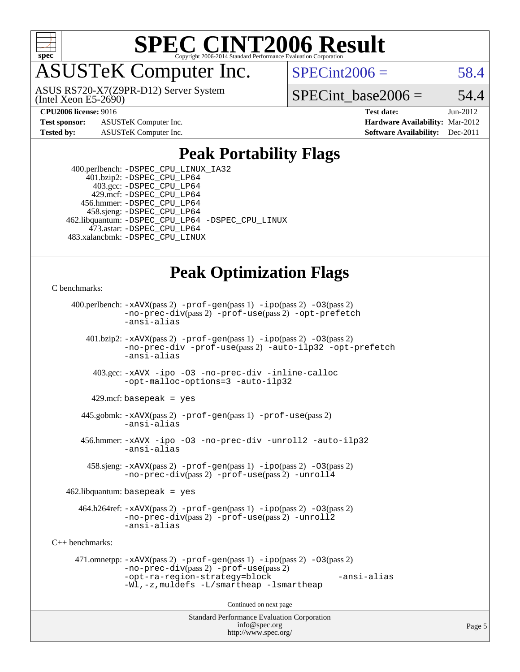

# ASUSTeK Computer Inc.

(Intel Xeon E5-2690) ASUS RS720-X7(Z9PR-D12) Server System  $SPECint2006 = 58.4$  $SPECint2006 = 58.4$ 

SPECint base2006 =  $54.4$ 

**[Test sponsor:](http://www.spec.org/auto/cpu2006/Docs/result-fields.html#Testsponsor)** ASUSTeK Computer Inc. **[Hardware Availability:](http://www.spec.org/auto/cpu2006/Docs/result-fields.html#HardwareAvailability)** Mar-2012

**[CPU2006 license:](http://www.spec.org/auto/cpu2006/Docs/result-fields.html#CPU2006license)** 9016 **[Test date:](http://www.spec.org/auto/cpu2006/Docs/result-fields.html#Testdate)** Jun-2012 **[Tested by:](http://www.spec.org/auto/cpu2006/Docs/result-fields.html#Testedby)** ASUSTeK Computer Inc. **[Software Availability:](http://www.spec.org/auto/cpu2006/Docs/result-fields.html#SoftwareAvailability)** Dec-2011

### **[Peak Portability Flags](http://www.spec.org/auto/cpu2006/Docs/result-fields.html#PeakPortabilityFlags)**

 400.perlbench: [-DSPEC\\_CPU\\_LINUX\\_IA32](http://www.spec.org/cpu2006/results/res2012q3/cpu2006-20120703-23524.flags.html#b400.perlbench_peakCPORTABILITY_DSPEC_CPU_LINUX_IA32) 401.bzip2: [-DSPEC\\_CPU\\_LP64](http://www.spec.org/cpu2006/results/res2012q3/cpu2006-20120703-23524.flags.html#suite_peakPORTABILITY401_bzip2_DSPEC_CPU_LP64) 403.gcc: [-DSPEC\\_CPU\\_LP64](http://www.spec.org/cpu2006/results/res2012q3/cpu2006-20120703-23524.flags.html#suite_peakPORTABILITY403_gcc_DSPEC_CPU_LP64) 429.mcf: [-DSPEC\\_CPU\\_LP64](http://www.spec.org/cpu2006/results/res2012q3/cpu2006-20120703-23524.flags.html#suite_peakPORTABILITY429_mcf_DSPEC_CPU_LP64) 456.hmmer: [-DSPEC\\_CPU\\_LP64](http://www.spec.org/cpu2006/results/res2012q3/cpu2006-20120703-23524.flags.html#suite_peakPORTABILITY456_hmmer_DSPEC_CPU_LP64) 458.sjeng: [-DSPEC\\_CPU\\_LP64](http://www.spec.org/cpu2006/results/res2012q3/cpu2006-20120703-23524.flags.html#suite_peakPORTABILITY458_sjeng_DSPEC_CPU_LP64) 462.libquantum: [-DSPEC\\_CPU\\_LP64](http://www.spec.org/cpu2006/results/res2012q3/cpu2006-20120703-23524.flags.html#suite_peakPORTABILITY462_libquantum_DSPEC_CPU_LP64) [-DSPEC\\_CPU\\_LINUX](http://www.spec.org/cpu2006/results/res2012q3/cpu2006-20120703-23524.flags.html#b462.libquantum_peakCPORTABILITY_DSPEC_CPU_LINUX) 473.astar: [-DSPEC\\_CPU\\_LP64](http://www.spec.org/cpu2006/results/res2012q3/cpu2006-20120703-23524.flags.html#suite_peakPORTABILITY473_astar_DSPEC_CPU_LP64) 483.xalancbmk: [-DSPEC\\_CPU\\_LINUX](http://www.spec.org/cpu2006/results/res2012q3/cpu2006-20120703-23524.flags.html#b483.xalancbmk_peakCXXPORTABILITY_DSPEC_CPU_LINUX)

### **[Peak Optimization Flags](http://www.spec.org/auto/cpu2006/Docs/result-fields.html#PeakOptimizationFlags)**

```
C benchmarks:
```

```
Standard Performance Evaluation Corporation
                                          info@spec.org
     400.perlbench: -xAVX(pass 2) -prof-gen(pass 1) -ipo(pass 2) -O3(pass 2)
                -no-prec-div(pass 2) -prof-use(pass 2) -opt-prefetch
                -ansi-alias
        401.bzip2: -xAVX(pass 2) -prof-gen(pass 1) -ipo(pass 2) -O3(pass 2)
                -no-prec-div -prof-use(pass 2) -auto-ilp32 -opt-prefetch
                -ansi-alias
          403.gcc: -xAVX -ipo -O3 -no-prec-div -inline-calloc
                -opt-malloc-options=3 -auto-ilp32
         429.mcf: basepeak = yes
       445.gobmk: -xAVX(pass 2) -prof-gen(pass 1) -prof-use(pass 2)
                -ansi-alias
       456.hmmer: -xAVX -ipo -O3 -no-prec-div -unroll2 -auto-ilp32
                -ansi-alias
         458.sjeng: -xAVX(pass 2) -prof-gen(pass 1) -ipo(pass 2) -O3(pass 2)
                -no-prec-div(pass 2) -prof-use(pass 2) -unroll4
    462.libquantum: basepeak = yes
       464.h264ref: -xAVX(pass 2) -prof-gen(pass 1) -ipo(pass 2) -O3(pass 2)
                -no-prec-div(pass 2) -prof-use(pass 2) -unroll2
                -ansi-alias
C++ benchmarks: 
      471.omnetpp: -xAVX(pass 2) -prof-gen(pass 1) -ipo(pass 2) -O3(pass 2)
                -no-prec-div(pass 2) -prof-use(pass 2)
                -opt-ra-region-strategy=block -ansi-alias
                -Wl,-z,muldefs -L/smartheap -lsmartheap
                                        Continued on next page
```
<http://www.spec.org/>